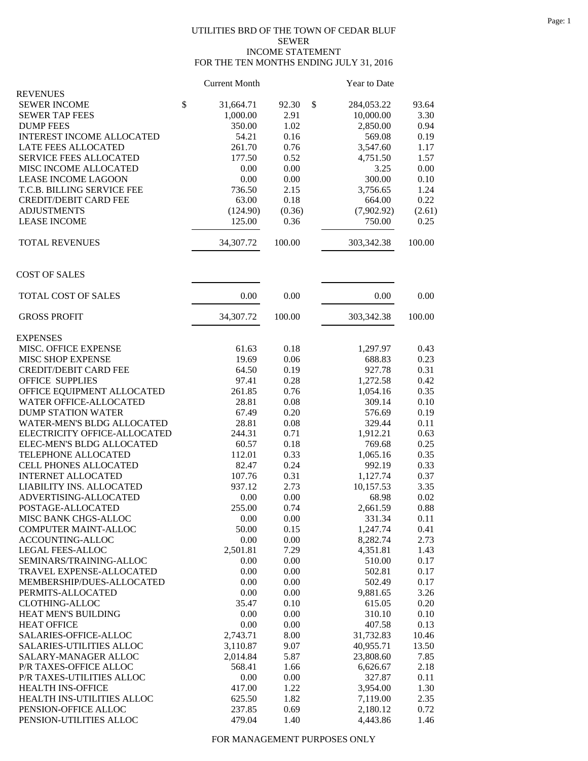## UTILITIES BRD OF THE TOWN OF CEDAR BLUF SEWER INCOME STATEMENT FOR THE TEN MONTHS ENDING JULY 31, 2016

|                                                                | <b>Current Month</b> |              | Year to Date       |              |
|----------------------------------------------------------------|----------------------|--------------|--------------------|--------------|
| <b>REVENUES</b>                                                |                      |              |                    |              |
| <b>SEWER INCOME</b>                                            | \$<br>31,664.71      | \$<br>92.30  | 284,053.22         | 93.64        |
| <b>SEWER TAP FEES</b>                                          | 1,000.00             | 2.91         | 10,000.00          | 3.30         |
| <b>DUMP FEES</b>                                               | 350.00               | 1.02         | 2,850.00           | 0.94         |
| <b>INTEREST INCOME ALLOCATED</b><br><b>LATE FEES ALLOCATED</b> | 54.21<br>261.70      | 0.16<br>0.76 | 569.08<br>3,547.60 | 0.19<br>1.17 |
| <b>SERVICE FEES ALLOCATED</b>                                  | 177.50               | 0.52         | 4,751.50           | 1.57         |
| MISC INCOME ALLOCATED                                          | 0.00                 | 0.00         | 3.25               | 0.00         |
| <b>LEASE INCOME LAGOON</b>                                     | 0.00                 | 0.00         | 300.00             | 0.10         |
| T.C.B. BILLING SERVICE FEE                                     | 736.50               | 2.15         | 3,756.65           | 1.24         |
| <b>CREDIT/DEBIT CARD FEE</b>                                   | 63.00                | 0.18         | 664.00             | 0.22         |
| <b>ADJUSTMENTS</b>                                             | (124.90)             | (0.36)       | (7,902.92)         | (2.61)       |
| <b>LEASE INCOME</b>                                            | 125.00               | 0.36         | 750.00             | 0.25         |
|                                                                |                      |              |                    |              |
| <b>TOTAL REVENUES</b>                                          | 34,307.72            | 100.00       | 303,342.38         | 100.00       |
| <b>COST OF SALES</b>                                           |                      |              |                    |              |
| TOTAL COST OF SALES                                            | 0.00                 | 0.00         | 0.00               | 0.00         |
| <b>GROSS PROFIT</b>                                            | 34,307.72            | 100.00       | 303,342.38         | 100.00       |
| <b>EXPENSES</b>                                                |                      |              |                    |              |
| MISC. OFFICE EXPENSE                                           | 61.63                | 0.18         | 1,297.97           | 0.43         |
| MISC SHOP EXPENSE                                              | 19.69                | 0.06         | 688.83             | 0.23         |
| <b>CREDIT/DEBIT CARD FEE</b>                                   | 64.50                | 0.19         | 927.78             | 0.31         |
| <b>OFFICE SUPPLIES</b>                                         | 97.41                | 0.28         | 1,272.58           | 0.42         |
| OFFICE EQUIPMENT ALLOCATED                                     | 261.85               | 0.76         | 1,054.16           | 0.35         |
| WATER OFFICE-ALLOCATED                                         | 28.81                | 0.08         | 309.14             | 0.10         |
| <b>DUMP STATION WATER</b>                                      | 67.49                | 0.20         | 576.69             | 0.19         |
| WATER-MEN'S BLDG ALLOCATED                                     | 28.81                | 0.08         | 329.44             | 0.11         |
| ELECTRICITY OFFICE-ALLOCATED                                   | 244.31               | 0.71         | 1,912.21           | 0.63         |
| ELEC-MEN'S BLDG ALLOCATED                                      | 60.57                | 0.18         | 769.68             | 0.25         |
| TELEPHONE ALLOCATED                                            | 112.01               | 0.33         | 1,065.16           | 0.35         |
| CELL PHONES ALLOCATED                                          | 82.47                | 0.24         | 992.19             | 0.33         |
| <b>INTERNET ALLOCATED</b>                                      | 107.76               | 0.31         | 1,127.74           | 0.37         |
| LIABILITY INS. ALLOCATED                                       | 937.12               | 2.73         | 10,157.53          | 3.35         |
| ADVERTISING-ALLOCATED                                          | 0.00                 | 0.00         | 68.98              | 0.02         |
| POSTAGE-ALLOCATED                                              | 255.00               | 0.74         | 2,661.59           | 0.88         |
| MISC BANK CHGS-ALLOC<br>COMPUTER MAINT-ALLOC                   | 0.00<br>50.00        | 0.00<br>0.15 | 331.34<br>1,247.74 | 0.11<br>0.41 |
| ACCOUNTING-ALLOC                                               | 0.00                 | 0.00         | 8,282.74           | 2.73         |
| LEGAL FEES-ALLOC                                               | 2,501.81             | 7.29         | 4,351.81           | 1.43         |
| SEMINARS/TRAINING-ALLOC                                        | 0.00                 | 0.00         | 510.00             | 0.17         |
| TRAVEL EXPENSE-ALLOCATED                                       | 0.00                 | 0.00         | 502.81             | 0.17         |
| MEMBERSHIP/DUES-ALLOCATED                                      | 0.00                 | 0.00         | 502.49             | 0.17         |
| PERMITS-ALLOCATED                                              | 0.00                 | 0.00         | 9,881.65           | 3.26         |
| <b>CLOTHING-ALLOC</b>                                          | 35.47                | 0.10         | 615.05             | 0.20         |
| HEAT MEN'S BUILDING                                            | 0.00                 | 0.00         | 310.10             | 0.10         |
| <b>HEAT OFFICE</b>                                             | 0.00                 | 0.00         | 407.58             | 0.13         |
| SALARIES-OFFICE-ALLOC                                          | 2,743.71             | 8.00         | 31,732.83          | 10.46        |
| SALARIES-UTILITIES ALLOC                                       | 3,110.87             | 9.07         | 40,955.71          | 13.50        |
| SALARY-MANAGER ALLOC                                           | 2,014.84             | 5.87         | 23,808.60          | 7.85         |
| P/R TAXES-OFFICE ALLOC                                         | 568.41               | 1.66         | 6,626.67           | 2.18         |
| P/R TAXES-UTILITIES ALLOC                                      | 0.00                 | 0.00         | 327.87             | 0.11         |
| <b>HEALTH INS-OFFICE</b>                                       | 417.00               | 1.22         | 3,954.00           | 1.30         |
| HEALTH INS-UTILITIES ALLOC                                     | 625.50               | 1.82         | 7,119.00           | 2.35         |
| PENSION-OFFICE ALLOC                                           | 237.85               | 0.69         | 2,180.12           | 0.72         |
| PENSION-UTILITIES ALLOC                                        | 479.04               | 1.40         | 4,443.86           | 1.46         |